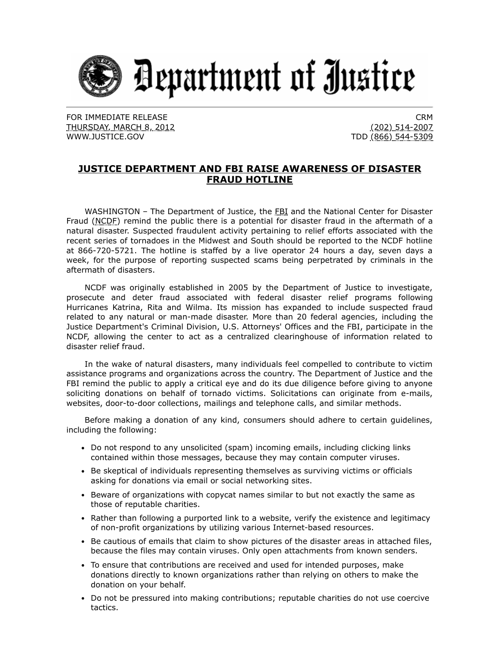

FOR IMMEDIATE RELEASE THURSDAY, MARCH 8, 2012 [WWW.JUSTICE.GOV](https://www.ic3.gov/egress.aspx?u=http%3a%2f%2fwww.justice.gov%2f&h=A1C6AF24D84F605111B8D880B7D1B78D8DCA9182871E10451DB9BC3A7569369C)

CRM (202) 514-2007 TDD (866) 544-5309

## **JUSTICE DEPARTMENT AND FBI RAISE AWARENESS OF DISASTER FRAUD HOTLINE**

WASHINGTON - The Department of Justice, the FBI and the National Center for Disaster Fraud (NCDF) remind the public there is a potential for disaster fraud in the aftermath of a natural disaster. Suspected fraudulent activity pertaining to relief efforts associated with the recent series of tornadoes in the Midwest and South should be reported to the NCDF hotline at 866-720-5721. The hotline is staffed by a live operator 24 hours a day, seven days a week, for the purpose of reporting suspected scams being perpetrated by criminals in the aftermath of disasters.

NCDF was originally established in 2005 by the Department of Justice to investigate, prosecute and deter fraud associated with federal disaster relief programs following Hurricanes Katrina, Rita and Wilma. Its mission has expanded to include suspected fraud related to any natural or man-made disaster. More than 20 federal agencies, including the Justice Department's Criminal Division, U.S. Attorneys' Offices and the FBI, participate in the NCDF, allowing the center to act as a centralized clearinghouse of information related to disaster relief fraud.

In the wake of natural disasters, many individuals feel compelled to contribute to victim assistance programs and organizations across the country. The Department of Justice and the FBI remind the public to apply a critical eye and do its due diligence before giving to anyone soliciting donations on behalf of tornado victims. Solicitations can originate from e-mails, websites, door-to-door collections, mailings and telephone calls, and similar methods.

Before making a donation of any kind, consumers should adhere to certain guidelines, including the following:

- Do not respond to any unsolicited (spam) incoming emails, including clicking links contained within those messages, because they may contain computer viruses.
- Be skeptical of individuals representing themselves as surviving victims or officials asking for donations via email or social networking sites.
- Beware of organizations with copycat names similar to but not exactly the same as those of reputable charities.
- Rather than following a purported link to a website, verify the existence and legitimacy of non-profit organizations by utilizing various Internet-based resources.
- Be cautious of emails that claim to show pictures of the disaster areas in attached files, because the files may contain viruses. Only open attachments from known senders.
- To ensure that contributions are received and used for intended purposes, make donations directly to known organizations rather than relying on others to make the donation on your behalf.
- Do not be pressured into making contributions; reputable charities do not use coercive tactics.